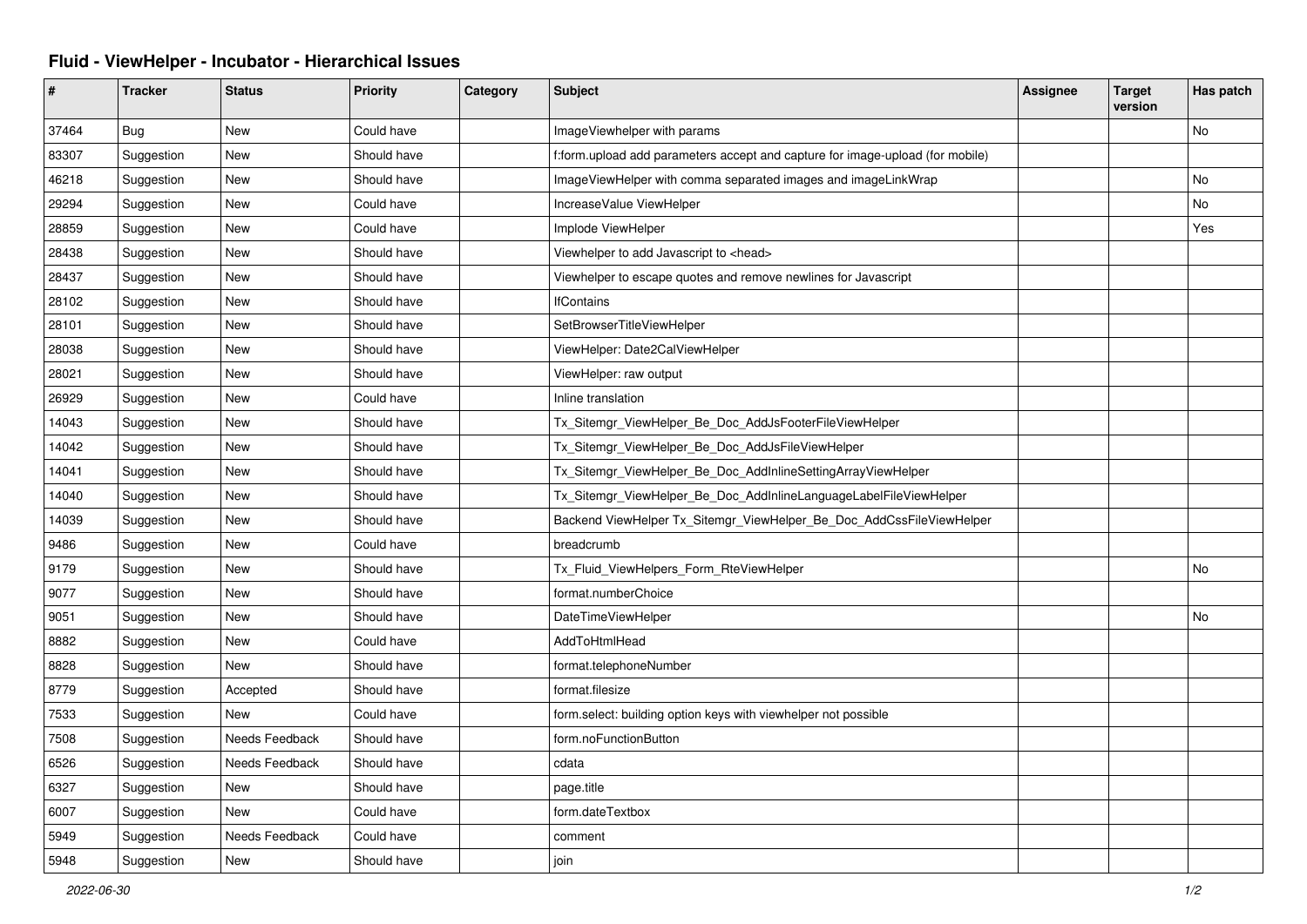## **Fluid - ViewHelper - Incubator - Hierarchical Issues**

| #     | <b>Tracker</b> | <b>Status</b>  | <b>Priority</b> | Category | <b>Subject</b>                                                                | <b>Assignee</b> | <b>Target</b><br>version | Has patch |
|-------|----------------|----------------|-----------------|----------|-------------------------------------------------------------------------------|-----------------|--------------------------|-----------|
| 37464 | <b>Bug</b>     | <b>New</b>     | Could have      |          | ImageViewhelper with params                                                   |                 |                          | No        |
| 83307 | Suggestion     | New            | Should have     |          | f:form.upload add parameters accept and capture for image-upload (for mobile) |                 |                          |           |
| 46218 | Suggestion     | New            | Should have     |          | ImageViewHelper with comma separated images and imageLinkWrap                 |                 |                          | No        |
| 29294 | Suggestion     | <b>New</b>     | Could have      |          | IncreaseValue ViewHelper                                                      |                 |                          | No        |
| 28859 | Suggestion     | New            | Could have      |          | Implode ViewHelper                                                            |                 |                          | Yes       |
| 28438 | Suggestion     | New            | Should have     |          | Viewhelper to add Javascript to <head></head>                                 |                 |                          |           |
| 28437 | Suggestion     | New            | Should have     |          | Viewhelper to escape quotes and remove newlines for Javascript                |                 |                          |           |
| 28102 | Suggestion     | <b>New</b>     | Should have     |          | <b>IfContains</b>                                                             |                 |                          |           |
| 28101 | Suggestion     | New            | Should have     |          | SetBrowserTitleViewHelper                                                     |                 |                          |           |
| 28038 | Suggestion     | New            | Should have     |          | ViewHelper: Date2CalViewHelper                                                |                 |                          |           |
| 28021 | Suggestion     | <b>New</b>     | Should have     |          | ViewHelper: raw output                                                        |                 |                          |           |
| 26929 | Suggestion     | New            | Could have      |          | Inline translation                                                            |                 |                          |           |
| 14043 | Suggestion     | New            | Should have     |          | Tx_Sitemgr_ViewHelper_Be_Doc_AddJsFooterFileViewHelper                        |                 |                          |           |
| 14042 | Suggestion     | <b>New</b>     | Should have     |          | Tx_Sitemgr_ViewHelper_Be_Doc_AddJsFileViewHelper                              |                 |                          |           |
| 14041 | Suggestion     | New            | Should have     |          | Tx_Sitemgr_ViewHelper_Be_Doc_AddInlineSettingArrayViewHelper                  |                 |                          |           |
| 14040 | Suggestion     | New            | Should have     |          | Tx_Sitemgr_ViewHelper_Be_Doc_AddInlineLanguageLabelFileViewHelper             |                 |                          |           |
| 14039 | Suggestion     | New            | Should have     |          | Backend ViewHelper Tx_Sitemgr_ViewHelper_Be_Doc_AddCssFileViewHelper          |                 |                          |           |
| 9486  | Suggestion     | New            | Could have      |          | breadcrumb                                                                    |                 |                          |           |
| 9179  | Suggestion     | New            | Should have     |          | Tx Fluid ViewHelpers Form RteViewHelper                                       |                 |                          | No        |
| 9077  | Suggestion     | New            | Should have     |          | format.numberChoice                                                           |                 |                          |           |
| 9051  | Suggestion     | New            | Should have     |          | DateTimeViewHelper                                                            |                 |                          | No        |
| 8882  | Suggestion     | <b>New</b>     | Could have      |          | AddToHtmlHead                                                                 |                 |                          |           |
| 8828  | Suggestion     | <b>New</b>     | Should have     |          | format.telephoneNumber                                                        |                 |                          |           |
| 8779  | Suggestion     | Accepted       | Should have     |          | format.filesize                                                               |                 |                          |           |
| 7533  | Suggestion     | New            | Could have      |          | form.select: building option keys with viewhelper not possible                |                 |                          |           |
| 7508  | Suggestion     | Needs Feedback | Should have     |          | form.noFunctionButton                                                         |                 |                          |           |
| 6526  | Suggestion     | Needs Feedback | Should have     |          | cdata                                                                         |                 |                          |           |
| 6327  | Suggestion     | <b>New</b>     | Should have     |          | page.title                                                                    |                 |                          |           |
| 6007  | Suggestion     | <b>New</b>     | Could have      |          | form.dateTextbox                                                              |                 |                          |           |
| 5949  | Suggestion     | Needs Feedback | Could have      |          | comment                                                                       |                 |                          |           |
| 5948  | Suggestion     | New            | Should have     |          | join                                                                          |                 |                          |           |